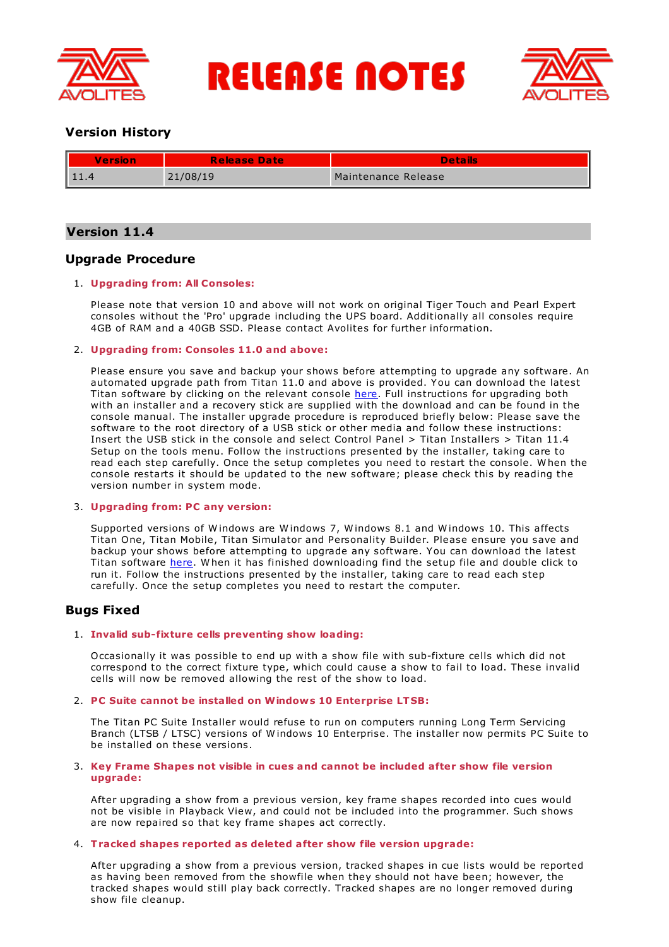

**RELEASE NOTES** 



# **Version History**

| <b>Version</b> | <b>Release Date</b> | <b>Details</b>      |
|----------------|---------------------|---------------------|
|                | 21/08/19            | Maintenance Release |

# **Version 11.4**

# **Upgrade Procedure**

## 1. **Upgrading from: All Consoles:**

Please note that version 10 and above will not work on original Tiger Touch and Pearl Expert consoles without the 'Pro' upgrade including the UPS board. Additionally all consoles require 4GB of RAM and a 40GB SSD. Please contact Avolites for further information.

## 2. **Upgrading from: Consoles 11.0 and above:**

Please ensure you save and backup your shows before attempting to upgrade any software. An automated upgrade path from Titan 11.0 and above is provided. You can download the latest Titan software by clicking on the relevant console [here](http://www.avolites.com/software/latest-version). Full instructions for upgrading both with an installer and a recovery stick are supplied with the download and can be found in the console manual. The installer upgrade procedure is reproduced briefly below: Please save the software to the root directory of a USB stick or other media and follow these instructions: Insert the USB stick in the console and select Control Panel > Titan Installers > Titan 11.4 Setup on the tools menu. Follow the instructions presented by the installer, taking care to read each step carefully. Once the setup completes you need to restart the console. W hen the console restarts it should be updated to the new software; please check this by reading the version number in system mode.

### 3. **Upgrading from: PC any version:**

Supported versions of W indows are W indows 7, W indows 8.1 and W indows 10. This affects Titan One, Titan Mobile, Titan Simulator and Personality Builder. Please ensure you save and backup your shows before attempting to upgrade any software. You can download the latest Titan software [here](http://www.avolites.com/software/latest-version). When it has finished downloading find the setup file and double click to run it. Follow the instructions presented by the installer, taking care to read each step carefully. Once the setup completes you need to restart the computer.

# **Bugs Fixed**

## 1. **Invalid sub-fixture cells preventing show loading:**

Occasionally it was possible to end up with a show file with sub-fixture cells which did not correspond to the correct fixture type, which could cause a show to fail to load. These invalid cells will now be removed allowing the rest of the show to load.

### 2. **PC Suite cannot be installed on Windows 10 Enterprise LTSB:**

The Titan PC Suite Installer would refuse to run on computers running Long Term Servicing Branch (LTSB / LTSC) versions of W indows 10 Enterprise. The installer now permits PC Suite to be installed on these versions.

### 3. **Key Frame Shapes not visible in cues and cannot be included after show file version upgrade:**

After upgrading a show from a previous version, key frame shapes recorded into cues would not be visible in Playback View, and could not be included into the programmer. Such shows are now repaired so that key frame shapes act correctly.

### 4. **Tracked shapes reported as deleted after show file version upgrade:**

After upgrading a show from a previous version, tracked shapes in cue lists would be reported as having been removed from the showfile when they should not have been; however, the tracked shapes would still play back correctly. Tracked shapes are no longer removed during show file cleanup.